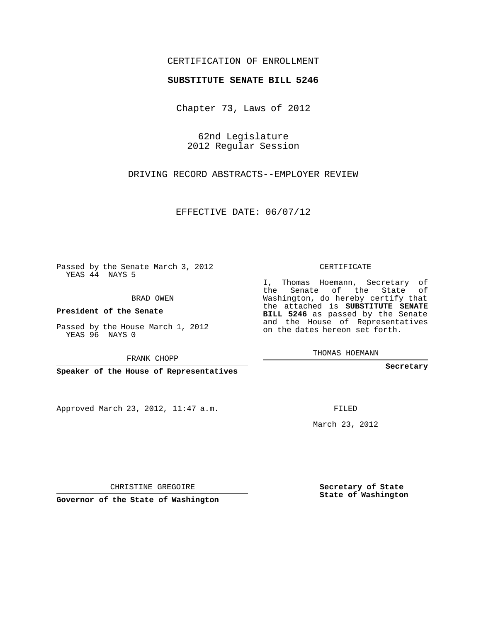## CERTIFICATION OF ENROLLMENT

## **SUBSTITUTE SENATE BILL 5246**

Chapter 73, Laws of 2012

62nd Legislature 2012 Regular Session

DRIVING RECORD ABSTRACTS--EMPLOYER REVIEW

EFFECTIVE DATE: 06/07/12

Passed by the Senate March 3, 2012 YEAS 44 NAYS 5

BRAD OWEN

**President of the Senate**

Passed by the House March 1, 2012 YEAS 96 NAYS 0

FRANK CHOPP

**Speaker of the House of Representatives**

Approved March 23, 2012, 11:47 a.m.

CERTIFICATE

I, Thomas Hoemann, Secretary of the Senate of the State of Washington, do hereby certify that the attached is **SUBSTITUTE SENATE BILL 5246** as passed by the Senate and the House of Representatives on the dates hereon set forth.

THOMAS HOEMANN

**Secretary**

FILED

March 23, 2012

**Secretary of State State of Washington**

CHRISTINE GREGOIRE

**Governor of the State of Washington**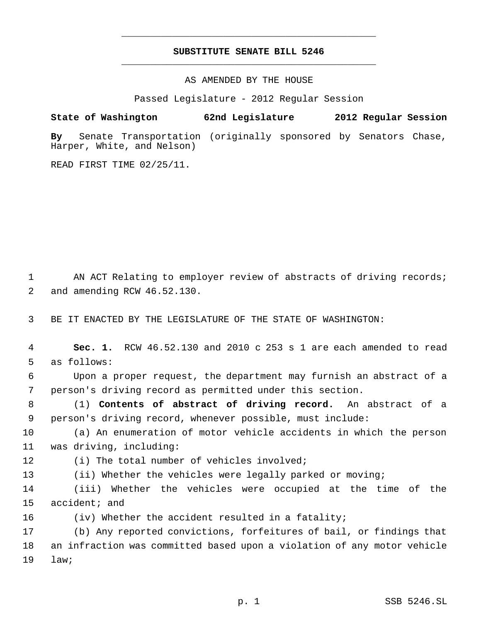## **SUBSTITUTE SENATE BILL 5246** \_\_\_\_\_\_\_\_\_\_\_\_\_\_\_\_\_\_\_\_\_\_\_\_\_\_\_\_\_\_\_\_\_\_\_\_\_\_\_\_\_\_\_\_\_

\_\_\_\_\_\_\_\_\_\_\_\_\_\_\_\_\_\_\_\_\_\_\_\_\_\_\_\_\_\_\_\_\_\_\_\_\_\_\_\_\_\_\_\_\_

AS AMENDED BY THE HOUSE

Passed Legislature - 2012 Regular Session

## **State of Washington 62nd Legislature 2012 Regular Session**

**By** Senate Transportation (originally sponsored by Senators Chase, Harper, White, and Nelson)

READ FIRST TIME 02/25/11.

1 AN ACT Relating to employer review of abstracts of driving records; and amending RCW 46.52.130.

BE IT ENACTED BY THE LEGISLATURE OF THE STATE OF WASHINGTON:

 **Sec. 1.** RCW 46.52.130 and 2010 c 253 s 1 are each amended to read as follows:

 Upon a proper request, the department may furnish an abstract of a person's driving record as permitted under this section.

 (1) **Contents of abstract of driving record.** An abstract of a person's driving record, whenever possible, must include:

 (a) An enumeration of motor vehicle accidents in which the person was driving, including:

(i) The total number of vehicles involved;

(ii) Whether the vehicles were legally parked or moving;

 (iii) Whether the vehicles were occupied at the time of the accident; and

(iv) Whether the accident resulted in a fatality;

 (b) Any reported convictions, forfeitures of bail, or findings that an infraction was committed based upon a violation of any motor vehicle law;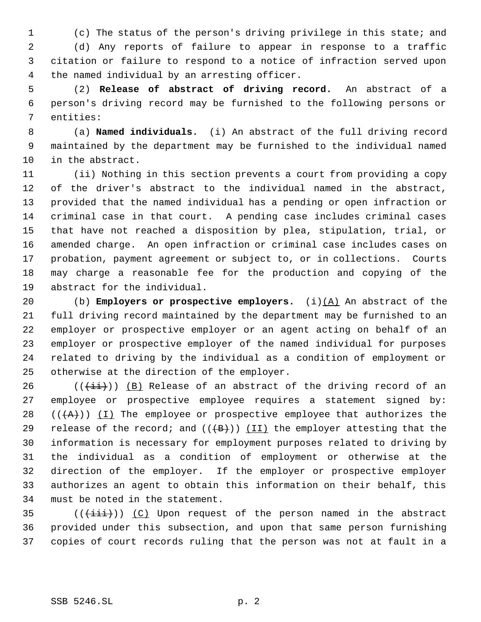(c) The status of the person's driving privilege in this state; and

 (d) Any reports of failure to appear in response to a traffic citation or failure to respond to a notice of infraction served upon the named individual by an arresting officer.

 (2) **Release of abstract of driving record.** An abstract of a person's driving record may be furnished to the following persons or entities:

 (a) **Named individuals.** (i) An abstract of the full driving record maintained by the department may be furnished to the individual named in the abstract.

 (ii) Nothing in this section prevents a court from providing a copy of the driver's abstract to the individual named in the abstract, provided that the named individual has a pending or open infraction or criminal case in that court. A pending case includes criminal cases that have not reached a disposition by plea, stipulation, trial, or amended charge. An open infraction or criminal case includes cases on probation, payment agreement or subject to, or in collections. Courts may charge a reasonable fee for the production and copying of the abstract for the individual.

 (b) **Employers or prospective employers.** (i)(A) An abstract of the full driving record maintained by the department may be furnished to an employer or prospective employer or an agent acting on behalf of an employer or prospective employer of the named individual for purposes related to driving by the individual as a condition of employment or otherwise at the direction of the employer.

 (( $(i+i)$ )) (B) Release of an abstract of the driving record of an employee or prospective employee requires a statement signed by:  $((+A))$   $(1)$  The employee or prospective employee that authorizes the 29 release of the record; and  $((+B))$  (II) the employer attesting that the information is necessary for employment purposes related to driving by the individual as a condition of employment or otherwise at the direction of the employer. If the employer or prospective employer authorizes an agent to obtain this information on their behalf, this must be noted in the statement.

35  $((\overrightarrow{\text{init}}))$  (C) Upon request of the person named in the abstract provided under this subsection, and upon that same person furnishing copies of court records ruling that the person was not at fault in a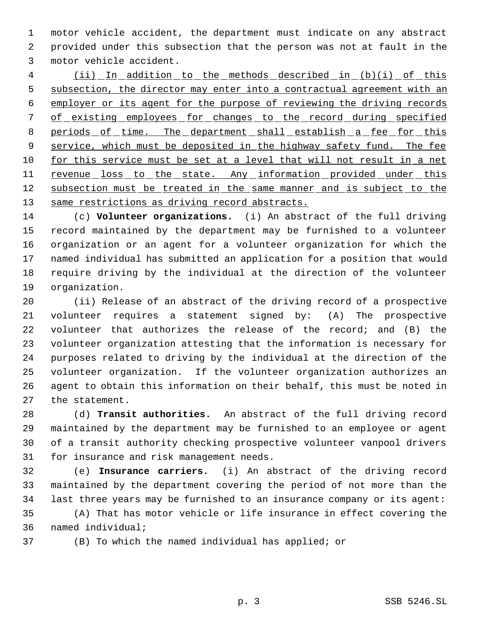motor vehicle accident, the department must indicate on any abstract provided under this subsection that the person was not at fault in the motor vehicle accident.

 (ii) In addition to the methods described in (b)(i) of this 5 subsection, the director may enter into a contractual agreement with an employer or its agent for the purpose of reviewing the driving records 7 of existing employees for changes to the record during specified 8 periods of time. The department shall establish a fee for this 9 service, which must be deposited in the highway safety fund. The fee for this service must be set at a level that will not result in a net 11 revenue loss to the state. Any information provided under this 12 subsection must be treated in the same manner and is subject to the 13 same restrictions as driving record abstracts.

 (c) **Volunteer organizations.** (i) An abstract of the full driving record maintained by the department may be furnished to a volunteer organization or an agent for a volunteer organization for which the named individual has submitted an application for a position that would require driving by the individual at the direction of the volunteer organization.

 (ii) Release of an abstract of the driving record of a prospective volunteer requires a statement signed by: (A) The prospective volunteer that authorizes the release of the record; and (B) the volunteer organization attesting that the information is necessary for purposes related to driving by the individual at the direction of the volunteer organization. If the volunteer organization authorizes an agent to obtain this information on their behalf, this must be noted in the statement.

 (d) **Transit authorities.** An abstract of the full driving record maintained by the department may be furnished to an employee or agent of a transit authority checking prospective volunteer vanpool drivers for insurance and risk management needs.

 (e) **Insurance carriers.** (i) An abstract of the driving record maintained by the department covering the period of not more than the last three years may be furnished to an insurance company or its agent:

 (A) That has motor vehicle or life insurance in effect covering the named individual;

(B) To which the named individual has applied; or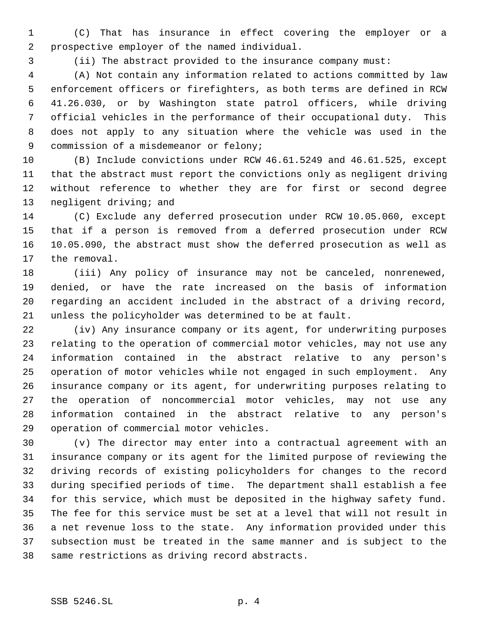(C) That has insurance in effect covering the employer or a prospective employer of the named individual.

(ii) The abstract provided to the insurance company must:

 (A) Not contain any information related to actions committed by law enforcement officers or firefighters, as both terms are defined in RCW 41.26.030, or by Washington state patrol officers, while driving official vehicles in the performance of their occupational duty. This does not apply to any situation where the vehicle was used in the commission of a misdemeanor or felony;

 (B) Include convictions under RCW 46.61.5249 and 46.61.525, except that the abstract must report the convictions only as negligent driving without reference to whether they are for first or second degree negligent driving; and

 (C) Exclude any deferred prosecution under RCW 10.05.060, except that if a person is removed from a deferred prosecution under RCW 10.05.090, the abstract must show the deferred prosecution as well as the removal.

 (iii) Any policy of insurance may not be canceled, nonrenewed, denied, or have the rate increased on the basis of information regarding an accident included in the abstract of a driving record, unless the policyholder was determined to be at fault.

 (iv) Any insurance company or its agent, for underwriting purposes relating to the operation of commercial motor vehicles, may not use any information contained in the abstract relative to any person's operation of motor vehicles while not engaged in such employment. Any insurance company or its agent, for underwriting purposes relating to the operation of noncommercial motor vehicles, may not use any information contained in the abstract relative to any person's operation of commercial motor vehicles.

 (v) The director may enter into a contractual agreement with an insurance company or its agent for the limited purpose of reviewing the driving records of existing policyholders for changes to the record during specified periods of time. The department shall establish a fee for this service, which must be deposited in the highway safety fund. The fee for this service must be set at a level that will not result in a net revenue loss to the state. Any information provided under this subsection must be treated in the same manner and is subject to the same restrictions as driving record abstracts.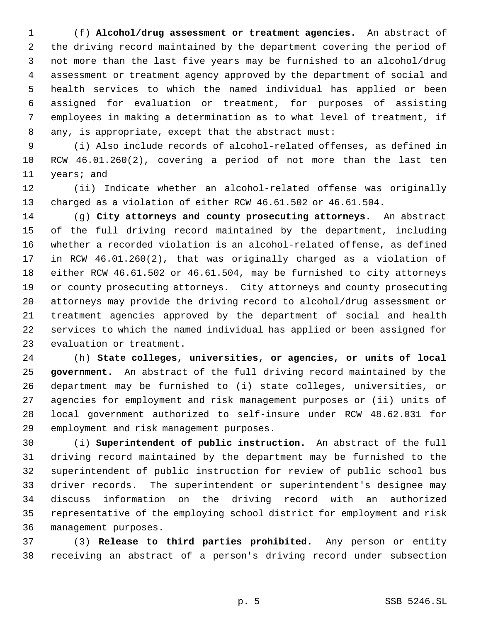(f) **Alcohol/drug assessment or treatment agencies.** An abstract of the driving record maintained by the department covering the period of not more than the last five years may be furnished to an alcohol/drug assessment or treatment agency approved by the department of social and health services to which the named individual has applied or been assigned for evaluation or treatment, for purposes of assisting employees in making a determination as to what level of treatment, if any, is appropriate, except that the abstract must:

 (i) Also include records of alcohol-related offenses, as defined in RCW 46.01.260(2), covering a period of not more than the last ten years; and

 (ii) Indicate whether an alcohol-related offense was originally charged as a violation of either RCW 46.61.502 or 46.61.504.

 (g) **City attorneys and county prosecuting attorneys.** An abstract of the full driving record maintained by the department, including whether a recorded violation is an alcohol-related offense, as defined in RCW 46.01.260(2), that was originally charged as a violation of either RCW 46.61.502 or 46.61.504, may be furnished to city attorneys or county prosecuting attorneys. City attorneys and county prosecuting attorneys may provide the driving record to alcohol/drug assessment or treatment agencies approved by the department of social and health services to which the named individual has applied or been assigned for evaluation or treatment.

 (h) **State colleges, universities, or agencies, or units of local government.** An abstract of the full driving record maintained by the department may be furnished to (i) state colleges, universities, or agencies for employment and risk management purposes or (ii) units of local government authorized to self-insure under RCW 48.62.031 for employment and risk management purposes.

 (i) **Superintendent of public instruction.** An abstract of the full driving record maintained by the department may be furnished to the superintendent of public instruction for review of public school bus driver records. The superintendent or superintendent's designee may discuss information on the driving record with an authorized representative of the employing school district for employment and risk management purposes.

 (3) **Release to third parties prohibited.** Any person or entity receiving an abstract of a person's driving record under subsection